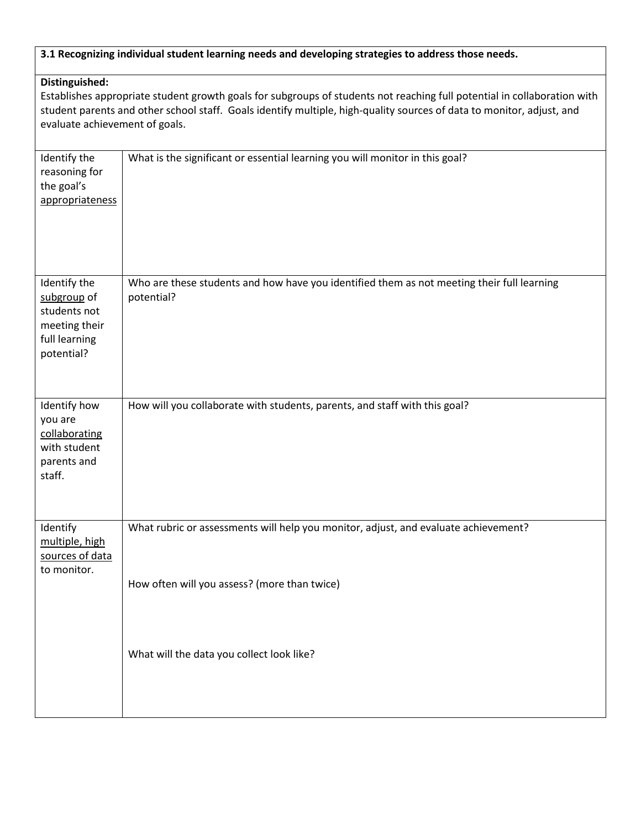## **3.1 Recognizing individual student learning needs and developing strategies to address those needs.**

## **Distinguished:**

Establishes appropriate student growth goals for subgroups of students not reaching full potential in collaboration with student parents and other school staff. Goals identify multiple, high-quality sources of data to monitor, adjust, and evaluate achievement of goals.

| Identify the<br>reasoning for<br>the goal's<br>appropriateness                              | What is the significant or essential learning you will monitor in this goal?                                                        |
|---------------------------------------------------------------------------------------------|-------------------------------------------------------------------------------------------------------------------------------------|
| Identify the<br>subgroup of<br>students not<br>meeting their<br>full learning<br>potential? | Who are these students and how have you identified them as not meeting their full learning<br>potential?                            |
| Identify how<br>you are<br>collaborating<br>with student<br>parents and<br>staff.           | How will you collaborate with students, parents, and staff with this goal?                                                          |
| Identify<br>multiple, high<br>sources of data<br>to monitor.                                | What rubric or assessments will help you monitor, adjust, and evaluate achievement?<br>How often will you assess? (more than twice) |
|                                                                                             | What will the data you collect look like?                                                                                           |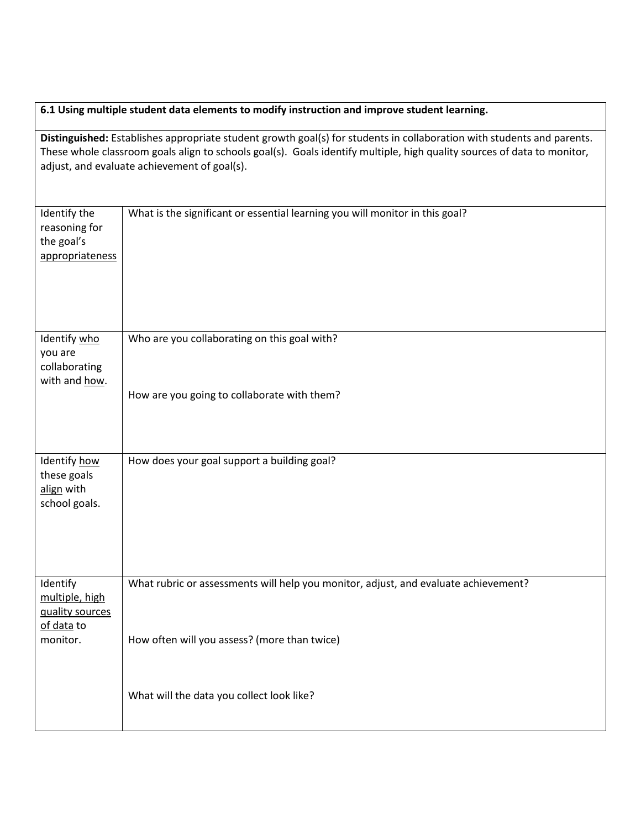## **6.1 Using multiple student data elements to modify instruction and improve student learning.**

**Distinguished:** Establishes appropriate student growth goal(s) for students in collaboration with students and parents. These whole classroom goals align to schools goal(s). Goals identify multiple, high quality sources of data to monitor, adjust, and evaluate achievement of goal(s).

| Identify the<br>reasoning for<br>the goal's<br>appropriateness | What is the significant or essential learning you will monitor in this goal?                |
|----------------------------------------------------------------|---------------------------------------------------------------------------------------------|
| Identify who<br>you are<br>collaborating<br>with and how.      | Who are you collaborating on this goal with?<br>How are you going to collaborate with them? |
|                                                                |                                                                                             |
| Identify how<br>these goals<br>align with<br>school goals.     | How does your goal support a building goal?                                                 |
| Identify<br>multiple, high<br>quality sources<br>of data to    | What rubric or assessments will help you monitor, adjust, and evaluate achievement?         |
| monitor.                                                       | How often will you assess? (more than twice)                                                |
|                                                                | What will the data you collect look like?                                                   |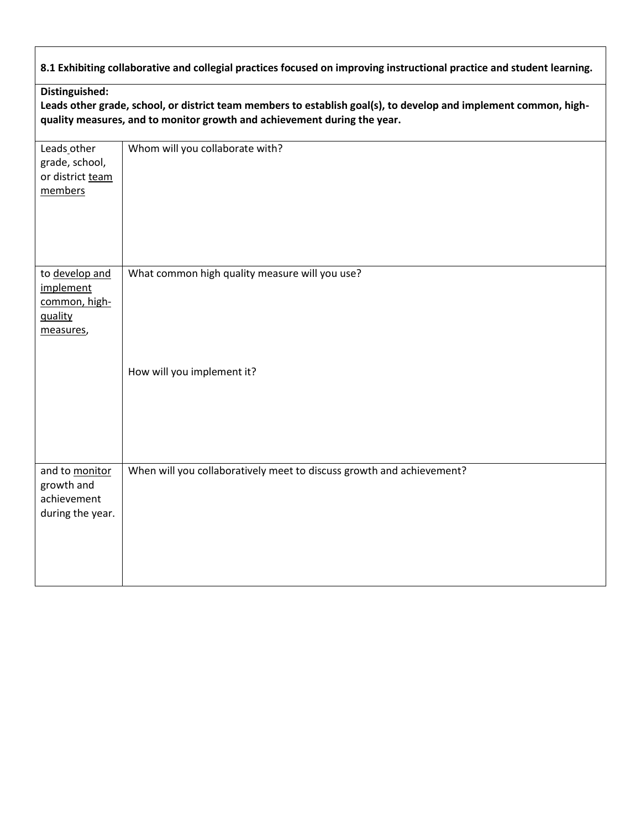**8.1 Exhibiting collaborative and collegial practices focused on improving instructional practice and student learning.**

**Leads other grade, school, or district team members to establish goal(s), to develop and implement common, highquality measures, and to monitor growth and achievement during the year.**

| Leads other<br>grade, school,<br>or district team<br>members         | Whom will you collaborate with?                                       |
|----------------------------------------------------------------------|-----------------------------------------------------------------------|
| to develop and<br>implement<br>common, high-<br>quality<br>measures, | What common high quality measure will you use?                        |
|                                                                      | How will you implement it?                                            |
| and to monitor<br>growth and<br>achievement<br>during the year.      | When will you collaboratively meet to discuss growth and achievement? |